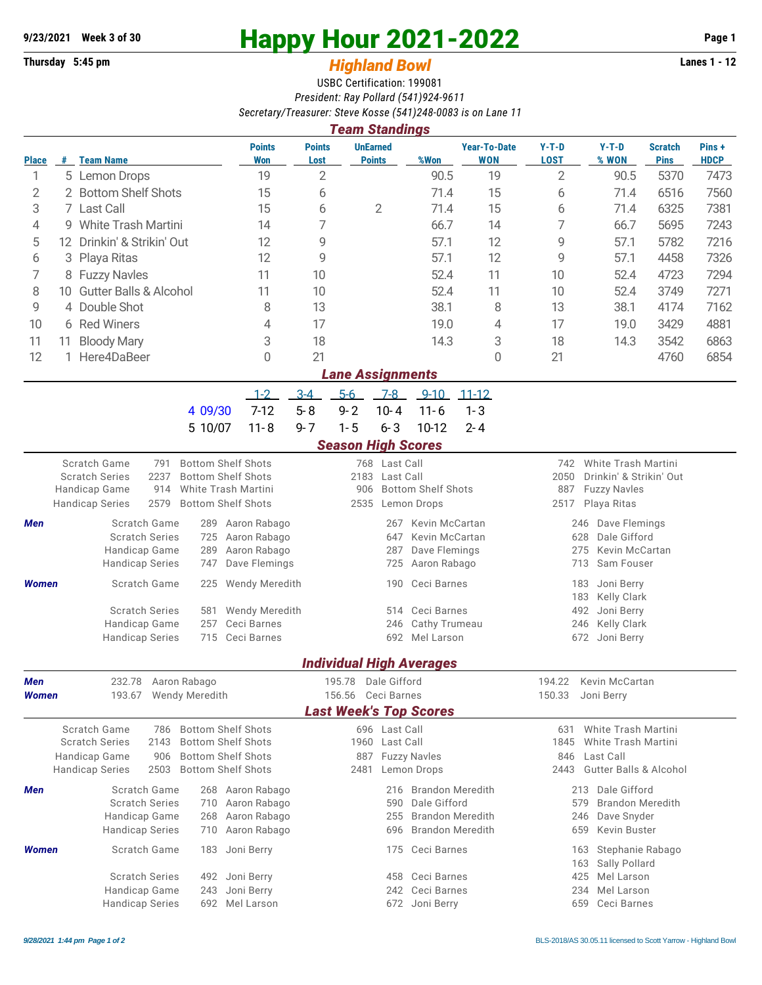## **9/23/2021** Week 3 of 30<br> **Happy Hour 2021-2022** Page 1<br> **Highland Rowl** Lanes 1 - 12<br>
Lanes 1 - 12

## **Thursday 5:45 pm** *Highland Bowl*

USBC Certification: 199081 *President: Ray Pollard (541)924-9611 Secretary/Treasurer: Steve Kosse (541)248-0083 is on Lane 11*

|                                       | <b>Team Standings</b>                                                                                          |                                                             |                                      |                       |                                                         |                                                 |                                   |                                           |                                                |                               |                      |  |  |
|---------------------------------------|----------------------------------------------------------------------------------------------------------------|-------------------------------------------------------------|--------------------------------------|-----------------------|---------------------------------------------------------|-------------------------------------------------|-----------------------------------|-------------------------------------------|------------------------------------------------|-------------------------------|----------------------|--|--|
| <b>Place</b>                          | #                                                                                                              | <b>Team Name</b>                                            | <b>Points</b><br>Won                 | <b>Points</b><br>Lost | <b>UnEarned</b><br><b>Points</b>                        | %Won                                            | <b>Year-To-Date</b><br><b>WON</b> | $Y-T-D$<br><b>LOST</b>                    | $Y-T-D$<br>% WON                               | <b>Scratch</b><br><b>Pins</b> | Pins+<br><b>HDCP</b> |  |  |
| 1                                     |                                                                                                                | 5 Lemon Drops                                               | 19                                   | $\overline{2}$        |                                                         | 90.5                                            | 19                                | $\overline{2}$                            | 90.5                                           | 5370                          | 7473                 |  |  |
| 2                                     |                                                                                                                | 2 Bottom Shelf Shots                                        | 15                                   | 6                     |                                                         | 71.4                                            | 15                                | 6                                         | 71.4                                           | 6516                          | 7560                 |  |  |
| 3                                     |                                                                                                                | 7 Last Call                                                 | 15                                   | 2<br>6                |                                                         | 71.4                                            | 15                                | 6                                         | 71.4                                           | 6325                          | 7381                 |  |  |
| 4                                     |                                                                                                                | 9 White Trash Martini                                       | 14                                   | 7                     |                                                         | 66.7                                            | 14                                | 7                                         | 66.7                                           | 5695                          | 7243                 |  |  |
| 5                                     |                                                                                                                | 12 Drinkin' & Strikin' Out                                  | 12                                   | 9                     |                                                         | 57.1                                            | 12                                | 9                                         | 57.1                                           | 5782                          | 7216                 |  |  |
| 6                                     | 3                                                                                                              | Playa Ritas                                                 | 12                                   | 9                     |                                                         | 57.1                                            | 12                                | 9                                         | 57.1                                           | 4458                          | 7326                 |  |  |
| 7                                     |                                                                                                                | 8 Fuzzy Navles                                              |                                      | 10                    |                                                         | 52.4                                            | 11                                | 10                                        | 52.4                                           | 4723                          | 7294                 |  |  |
| 8                                     |                                                                                                                | 10 Gutter Balls & Alcohol                                   | 11                                   | 10                    |                                                         | 52.4                                            | 11                                | 10                                        | 52.4                                           | 3749                          | 7271                 |  |  |
| 9                                     |                                                                                                                | 4 Double Shot                                               | 8                                    | 13                    |                                                         | 38.1                                            | 8                                 | 13                                        | 38.1                                           | 4174                          | 7162                 |  |  |
| 10                                    |                                                                                                                | 6 Red Winers                                                | 4                                    | 17                    |                                                         | 19.0                                            | 4                                 | 17                                        | 19.0                                           | 3429                          | 4881                 |  |  |
| 11                                    | 11                                                                                                             | <b>Bloody Mary</b>                                          | 3                                    | 18                    |                                                         | 14.3                                            | 3                                 | 18                                        | 14.3                                           | 3542                          | 6863                 |  |  |
| 12                                    |                                                                                                                | 1 Here4DaBeer                                               | 0                                    | 21                    |                                                         |                                                 | $\Omega$                          | 21                                        |                                                | 4760                          | 6854                 |  |  |
|                                       | <b>Lane Assignments</b>                                                                                        |                                                             |                                      |                       |                                                         |                                                 |                                   |                                           |                                                |                               |                      |  |  |
|                                       |                                                                                                                |                                                             | $-1-2$                               | $3 - 4$               | $5-6$<br>$7 - 8$                                        | $9 - 10$                                        | $11 - 12$                         |                                           |                                                |                               |                      |  |  |
|                                       |                                                                                                                | 4 09/30                                                     | $7-12$                               | $5 - 8$               | $9 - 2$<br>$10 - 4$                                     | $11 - 6$                                        | $1 - 3$                           |                                           |                                                |                               |                      |  |  |
|                                       |                                                                                                                | 5 10/07                                                     | $11 - 8$                             | $9 - 7$               | $1 - 5$<br>$6 - 3$                                      | 10-12                                           | $2 - 4$                           |                                           |                                                |                               |                      |  |  |
|                                       | <b>Season High Scores</b>                                                                                      |                                                             |                                      |                       |                                                         |                                                 |                                   |                                           |                                                |                               |                      |  |  |
|                                       | <b>Bottom Shelf Shots</b><br>Scratch Game<br>791<br><b>Scratch Series</b><br>2237<br><b>Bottom Shelf Shots</b> |                                                             |                                      |                       | 768 Last Call<br>2183 Last Call                         |                                                 |                                   | 742<br>2050                               | White Trash Martini<br>Drinkin' & Strikin' Out |                               |                      |  |  |
|                                       | Handicap Game<br>914<br>White Trash Martini<br>2579<br><b>Bottom Shelf Shots</b><br><b>Handicap Series</b>     |                                                             |                                      |                       | <b>Bottom Shelf Shots</b><br>906<br>2535<br>Lemon Drops |                                                 |                                   | 887<br>2517                               | <b>Fuzzy Navles</b><br>Playa Ritas             |                               |                      |  |  |
| Men                                   |                                                                                                                | Scratch Game<br>289                                         | Aaron Rabago                         |                       |                                                         | Kevin McCartan<br>267                           |                                   | 246 Dave Flemings                         |                                                |                               |                      |  |  |
|                                       |                                                                                                                | <b>Scratch Series</b><br>725                                | Aaron Rabago                         |                       | 647                                                     | Kevin McCartan                                  |                                   |                                           | Dale Gifford<br>628                            |                               |                      |  |  |
|                                       |                                                                                                                | Handicap Game<br>289                                        | Aaron Rabago                         |                       | 287                                                     | Dave Flemings                                   |                                   | 275                                       | Kevin McCartan                                 |                               |                      |  |  |
|                                       |                                                                                                                | <b>Handicap Series</b><br>747                               | Dave Flemings                        |                       | 725                                                     | Aaron Rabago                                    |                                   | 713                                       | Sam Fouser                                     |                               |                      |  |  |
| <b>Women</b>                          |                                                                                                                | Scratch Game<br>225                                         | Wendy Meredith                       |                       | 190                                                     | Ceci Barnes                                     |                                   | 183                                       | Joni Berry                                     |                               |                      |  |  |
|                                       |                                                                                                                | <b>Scratch Series</b><br>581                                | Wendy Meredith                       |                       | 514                                                     | Ceci Barnes                                     |                                   |                                           | 183<br>Kelly Clark                             |                               |                      |  |  |
|                                       |                                                                                                                | Handicap Game<br>257                                        | Ceci Barnes                          |                       | 246                                                     |                                                 | Cathy Trumeau                     |                                           | Joni Berry<br>492<br>Kelly Clark<br>246        |                               |                      |  |  |
|                                       |                                                                                                                | <b>Handicap Series</b><br>715                               | Ceci Barnes                          |                       |                                                         | 692 Mel Larson                                  |                                   | 672 Joni Berry                            |                                                |                               |                      |  |  |
|                                       |                                                                                                                |                                                             |                                      |                       | <b>Individual High Averages</b>                         |                                                 |                                   |                                           |                                                |                               |                      |  |  |
| Men                                   |                                                                                                                | 232.78 Aaron Rabago                                         |                                      |                       | 195.78 Dale Gifford                                     |                                                 |                                   |                                           | 194.22 Kevin McCartan                          |                               |                      |  |  |
| 193.67 Wendy Meredith<br><b>Women</b> |                                                                                                                |                                                             |                                      | 156.56 Ceci Barnes    |                                                         | 150.33                                          |                                   | Joni Berry                                |                                                |                               |                      |  |  |
|                                       |                                                                                                                |                                                             |                                      |                       | <b>Last Week's Top Scores</b>                           |                                                 |                                   |                                           |                                                |                               |                      |  |  |
|                                       |                                                                                                                | Scratch Game<br>786 Bottom Shelf Shots                      |                                      |                       | 696 Last Call                                           |                                                 |                                   | 631                                       | White Trash Martini                            |                               |                      |  |  |
|                                       |                                                                                                                | <b>Scratch Series</b><br><b>Bottom Shelf Shots</b><br>2143  |                                      |                       | 1960 Last Call                                          |                                                 |                                   | 1845<br>White Trash Martini               |                                                |                               |                      |  |  |
|                                       |                                                                                                                | <b>Bottom Shelf Shots</b><br>Handicap Game<br>906           |                                      |                       | 887                                                     | <b>Fuzzy Navles</b>                             |                                   | 846                                       | Last Call                                      |                               |                      |  |  |
|                                       |                                                                                                                | <b>Handicap Series</b><br>2503<br><b>Bottom Shelf Shots</b> |                                      |                       | 2481                                                    | Lemon Drops                                     |                                   |                                           | 2443 Gutter Balls & Alcohol                    |                               |                      |  |  |
| Men                                   |                                                                                                                | Scratch Game                                                | 268 Aaron Rabago                     |                       |                                                         | 216 Brandon Meredith                            |                                   |                                           | Dale Gifford<br>213                            |                               |                      |  |  |
|                                       |                                                                                                                | <b>Scratch Series</b><br>Handicap Game                      | 710 Aaron Rabago<br>268 Aaron Rabago |                       | 590                                                     | Dale Gifford                                    |                                   | 579                                       | <b>Brandon Meredith</b>                        |                               |                      |  |  |
|                                       |                                                                                                                | <b>Handicap Series</b><br>710                               | Aaron Rabago                         |                       | 696                                                     | 255 Brandon Meredith<br><b>Brandon Meredith</b> |                                   | Dave Snyder<br>246<br>659<br>Kevin Buster |                                                |                               |                      |  |  |
| <b>Women</b>                          |                                                                                                                | Scratch Game<br>183                                         | Joni Berry                           |                       |                                                         | 175 Ceci Barnes                                 |                                   | 163                                       | Stephanie Rabago                               |                               |                      |  |  |
|                                       |                                                                                                                |                                                             |                                      |                       |                                                         |                                                 |                                   | 163                                       | Sally Pollard                                  |                               |                      |  |  |
|                                       |                                                                                                                | <b>Scratch Series</b><br>492                                | Joni Berry                           |                       |                                                         | 458 Ceci Barnes                                 |                                   | 425                                       | Mel Larson                                     |                               |                      |  |  |
|                                       |                                                                                                                | Handicap Game<br>243                                        | Joni Berry                           |                       |                                                         | 242 Ceci Barnes                                 |                                   |                                           | Mel Larson<br>234                              |                               |                      |  |  |
|                                       |                                                                                                                | <b>Handicap Series</b><br>692 Mel Larson                    |                                      |                       |                                                         | 672 Joni Berry                                  |                                   |                                           | Ceci Barnes<br>659                             |                               |                      |  |  |